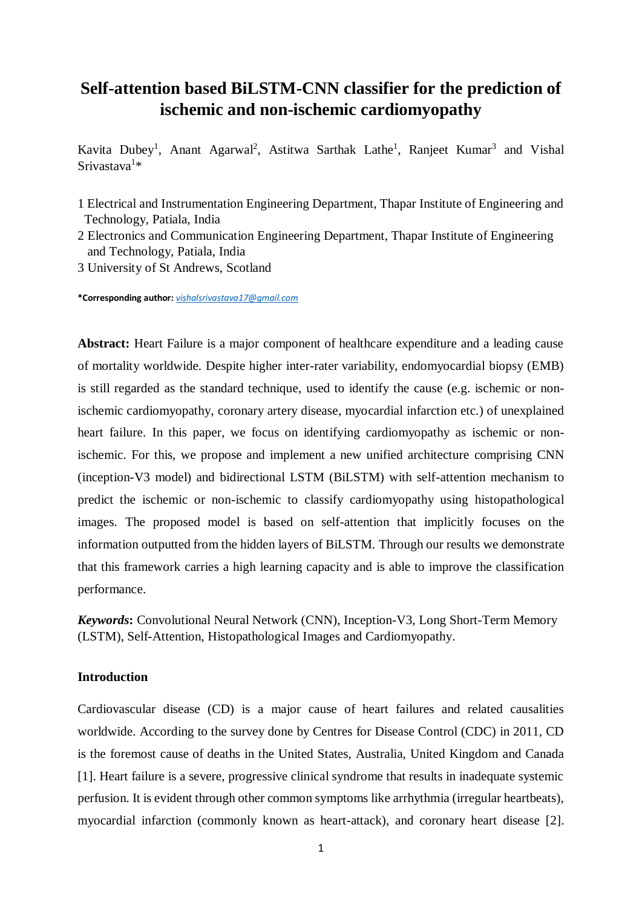# **Self-attention based BiLSTM-CNN classifier for the prediction of ischemic and non-ischemic cardiomyopathy**

Kavita Dubey<sup>1</sup>, Anant Agarwal<sup>2</sup>, Astitwa Sarthak Lathe<sup>1</sup>, Ranjeet Kumar<sup>3</sup> and Vishal Srivastava<sup>1</sup>\*

- 1 Electrical and Instrumentation Engineering Department, Thapar Institute of Engineering and Technology, Patiala, India
- 2 Electronics and Communication Engineering Department, Thapar Institute of Engineering and Technology, Patiala, India
- 3 University of St Andrews, Scotland

**\*Corresponding author:** *[vishalsrivastava17@gmail.com](mailto:vishalsrivastava17@gmail.com)*

**Abstract:** Heart Failure is a major component of healthcare expenditure and a leading cause of mortality worldwide. Despite higher inter-rater variability, endomyocardial biopsy (EMB) is still regarded as the standard technique, used to identify the cause (e.g. ischemic or nonischemic cardiomyopathy, coronary artery disease, myocardial infarction etc.) of unexplained heart failure. In this paper, we focus on identifying cardiomyopathy as ischemic or nonischemic. For this, we propose and implement a new unified architecture comprising CNN (inception-V3 model) and bidirectional LSTM (BiLSTM) with self-attention mechanism to predict the ischemic or non-ischemic to classify cardiomyopathy using histopathological images. The proposed model is based on self-attention that implicitly focuses on the information outputted from the hidden layers of BiLSTM. Through our results we demonstrate that this framework carries a high learning capacity and is able to improve the classification performance.

*Keywords***:** Convolutional Neural Network (CNN), Inception-V3, Long Short-Term Memory (LSTM), Self-Attention, Histopathological Images and Cardiomyopathy.

### **Introduction**

Cardiovascular disease (CD) is a major cause of heart failures and related causalities worldwide. According to the survey done by Centres for Disease Control (CDC) in 2011, CD is the foremost cause of deaths in the United States, Australia, United Kingdom and Canada [1]. Heart failure is a severe, progressive clinical syndrome that results in inadequate systemic perfusion. It is evident through other common symptoms like arrhythmia (irregular heartbeats), myocardial infarction (commonly known as heart-attack), and coronary heart disease [2].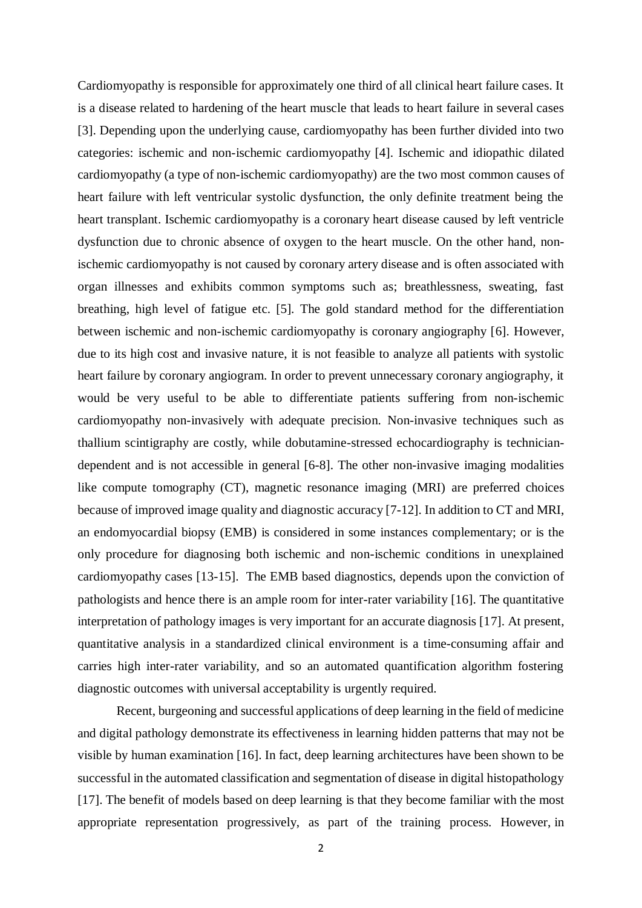Cardiomyopathy is responsible for approximately one third of all clinical heart failure cases. It is a disease related to hardening of the heart muscle that leads to heart failure in several cases [3]. Depending upon the underlying cause, cardiomyopathy has been further divided into two categories: ischemic and non-ischemic cardiomyopathy [4]. Ischemic and idiopathic dilated cardiomyopathy (a type of non-ischemic cardiomyopathy) are the two most common causes of heart failure with left ventricular systolic dysfunction, the only definite treatment being the heart transplant. Ischemic cardiomyopathy is a coronary heart disease caused by left ventricle dysfunction due to chronic absence of oxygen to the heart muscle. On the other hand, nonischemic cardiomyopathy is not caused by coronary artery disease and is often associated with organ illnesses and exhibits common symptoms such as; breathlessness, sweating, fast breathing, high level of fatigue etc. [5]. The gold standard method for the differentiation between ischemic and non-ischemic cardiomyopathy is coronary angiography [6]. However, due to its high cost and invasive nature, it is not feasible to analyze all patients with systolic heart failure by coronary angiogram. In order to prevent unnecessary coronary angiography, it would be very useful to be able to differentiate patients suffering from non-ischemic cardiomyopathy non-invasively with adequate precision. Non-invasive techniques such as thallium scintigraphy are costly, while dobutamine-stressed echocardiography is techniciandependent and is not accessible in general [6-8]. The other non-invasive imaging modalities like compute tomography (CT), magnetic resonance imaging (MRI) are preferred choices because of improved image quality and diagnostic accuracy [7-12]. In addition to CT and MRI, an endomyocardial biopsy (EMB) is considered in some instances complementary; or is the only procedure for diagnosing both ischemic and non-ischemic conditions in unexplained cardiomyopathy cases [13-15]. The EMB based diagnostics, depends upon the conviction of pathologists and hence there is an ample room for inter-rater variability [16]. The quantitative interpretation of pathology images is very important for an accurate diagnosis [17]. At present, quantitative analysis in a standardized clinical environment is a time-consuming affair and carries high inter-rater variability, and so an automated quantification algorithm fostering diagnostic outcomes with universal acceptability is urgently required.

Recent, burgeoning and successful applications of deep learning in the field of medicine and digital pathology demonstrate its effectiveness in learning hidden patterns that may not be visible by human examination [16]. In fact, deep learning architectures have been shown to be successful in the automated classification and segmentation of disease in digital histopathology [17]. The benefit of models based on deep learning is that they become familiar with the most appropriate representation progressively, as part of the training process. However, in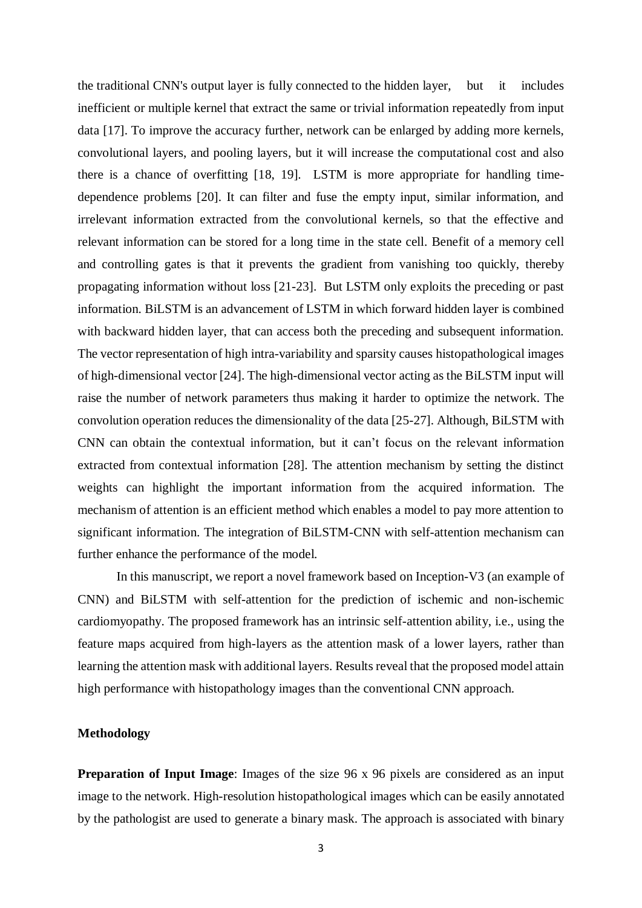the traditional CNN's output layer is fully connected to the hidden layer, but it includes inefficient or multiple kernel that extract the same or trivial information repeatedly from input data [17]. To improve the accuracy further, network can be enlarged by adding more kernels, convolutional layers, and pooling layers, but it will increase the computational cost and also there is a chance of overfitting [18, 19]. LSTM is more appropriate for handling timedependence problems [20]. It can filter and fuse the empty input, similar information, and irrelevant information extracted from the convolutional kernels, so that the effective and relevant information can be stored for a long time in the state cell. Benefit of a memory cell and controlling gates is that it prevents the gradient from vanishing too quickly, thereby propagating information without loss [21-23]. But LSTM only exploits the preceding or past information. BiLSTM is an advancement of LSTM in which forward hidden layer is combined with backward hidden layer, that can access both the preceding and subsequent information. The vector representation of high intra-variability and sparsity causes histopathological images of high-dimensional vector [24]. The high-dimensional vector acting as the BiLSTM input will raise the number of network parameters thus making it harder to optimize the network. The convolution operation reduces the dimensionality of the data [25-27]. Although, BiLSTM with CNN can obtain the contextual information, but it can't focus on the relevant information extracted from contextual information [28]. The attention mechanism by setting the distinct weights can highlight the important information from the acquired information. The mechanism of attention is an efficient method which enables a model to pay more attention to significant information. The integration of BiLSTM-CNN with self-attention mechanism can further enhance the performance of the model.

In this manuscript, we report a novel framework based on Inception-V3 (an example of CNN) and BiLSTM with self-attention for the prediction of ischemic and non-ischemic cardiomyopathy. The proposed framework has an intrinsic self-attention ability, i.e., using the feature maps acquired from high-layers as the attention mask of a lower layers, rather than learning the attention mask with additional layers. Results reveal that the proposed model attain high performance with histopathology images than the conventional CNN approach.

## **Methodology**

**Preparation of Input Image:** Images of the size 96 x 96 pixels are considered as an input image to the network. High-resolution histopathological images which can be easily annotated by the pathologist are used to generate a binary mask. The approach is associated with binary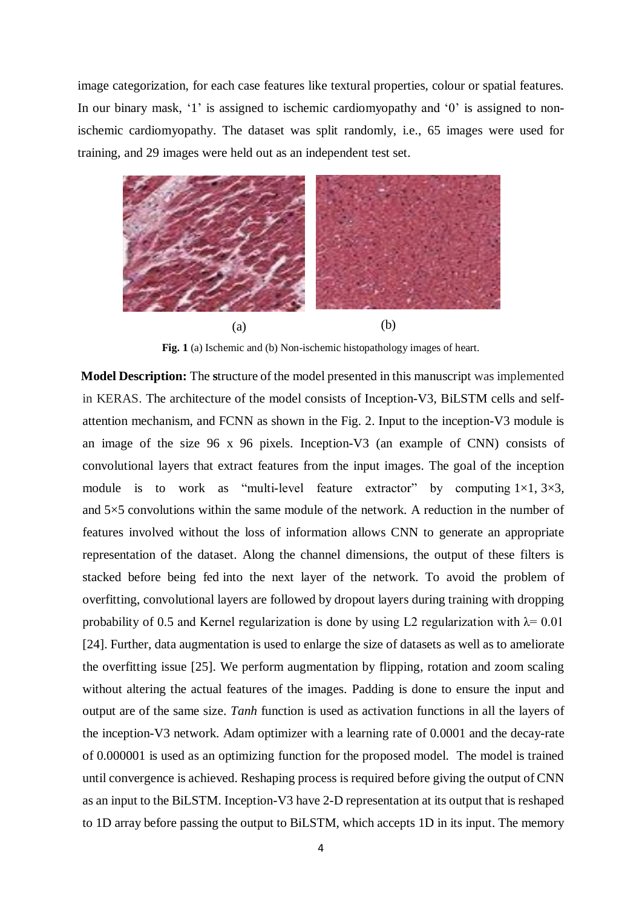image categorization, for each case features like textural properties, colour or spatial features. In our binary mask, '1' is assigned to ischemic cardiomyopathy and '0' is assigned to nonischemic cardiomyopathy. The dataset was split randomly, i.e., 65 images were used for training, and 29 images were held out as an independent test set.



**Fig. 1** (a) Ischemic and (b) Non-ischemic histopathology images of heart.

**Model Description:** The **s**tructure of the model presented in this manuscript was implemented in KERAS. The architecture of the model consists of Inception-V3, BiLSTM cells and selfattention mechanism, and FCNN as shown in the Fig. 2. Input to the inception-V3 module is an image of the size 96 x 96 pixels. Inception-V3 (an example of CNN) consists of convolutional layers that extract features from the input images. The goal of the inception module is to work as "multi-level feature extractor" by computing  $1\times1, 3\times3$ , and  $5\times5$  convolutions within the same module of the network. A reduction in the number of features involved without the loss of information allows CNN to generate an appropriate representation of the dataset. Along the channel dimensions, the output of these filters is stacked before being fed into the next layer of the network. To avoid the problem of overfitting, convolutional layers are followed by dropout layers during training with dropping probability of 0.5 and Kernel regularization is done by using L2 regularization with  $\lambda$ = 0.01 [24]. Further, data augmentation is used to enlarge the size of datasets as well as to ameliorate the overfitting issue [25]. We perform augmentation by flipping, rotation and zoom scaling without altering the actual features of the images. Padding is done to ensure the input and output are of the same size. *Tanh* function is used as activation functions in all the layers of the inception-V3 network. Adam optimizer with a learning rate of 0.0001 and the decay-rate of 0.000001 is used as an optimizing function for the proposed model. The model is trained until convergence is achieved. Reshaping process is required before giving the output of CNN as an input to the BiLSTM. Inception-V3 have 2-D representation at its output that is reshaped to 1D array before passing the output to BiLSTM, which accepts 1D in its input. The memory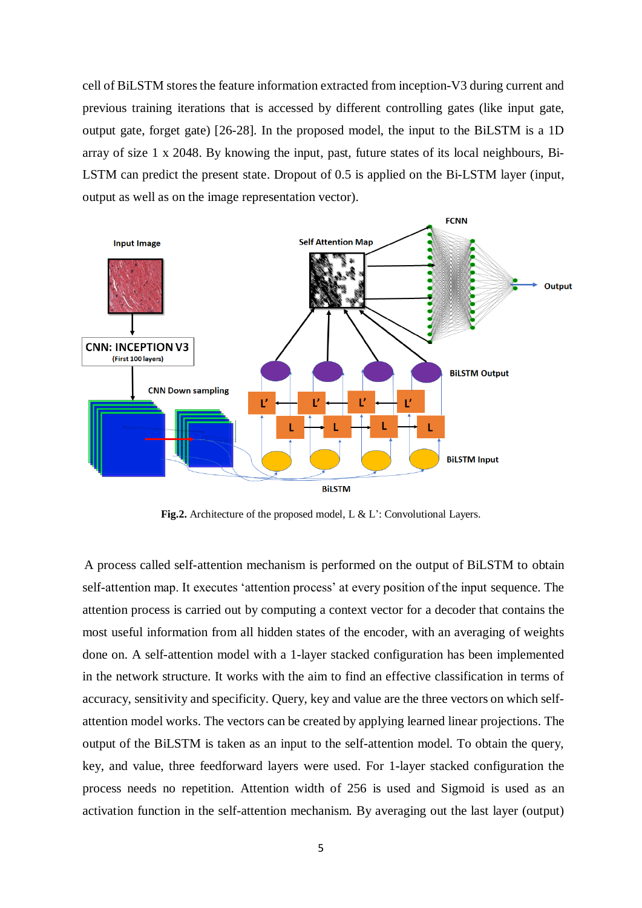cell of BiLSTM stores the feature information extracted from inception-V3 during current and previous training iterations that is accessed by different controlling gates (like input gate, output gate, forget gate) [26-28]. In the proposed model, the input to the BiLSTM is a 1D array of size 1 x 2048. By knowing the input, past, future states of its local neighbours, Bi-LSTM can predict the present state. Dropout of 0.5 is applied on the Bi-LSTM layer (input, output as well as on the image representation vector).



Fig.2. Architecture of the proposed model, L & L': Convolutional Layers.

 A process called self-attention mechanism is performed on the output of BiLSTM to obtain self-attention map. It executes 'attention process' at every position of the input sequence. The attention process is carried out by computing a context vector for a decoder that contains the most useful information from all hidden states of the encoder, with an averaging of weights done on. A self-attention model with a 1-layer stacked configuration has been implemented in the network structure. It works with the aim to find an effective classification in terms of accuracy, sensitivity and specificity. Query, key and value are the three vectors on which selfattention model works. The vectors can be created by applying learned linear projections. The output of the BiLSTM is taken as an input to the self-attention model. To obtain the query, key, and value, three feedforward layers were used. For 1-layer stacked configuration the process needs no repetition. Attention width of 256 is used and Sigmoid is used as an activation function in the self-attention mechanism. By averaging out the last layer (output)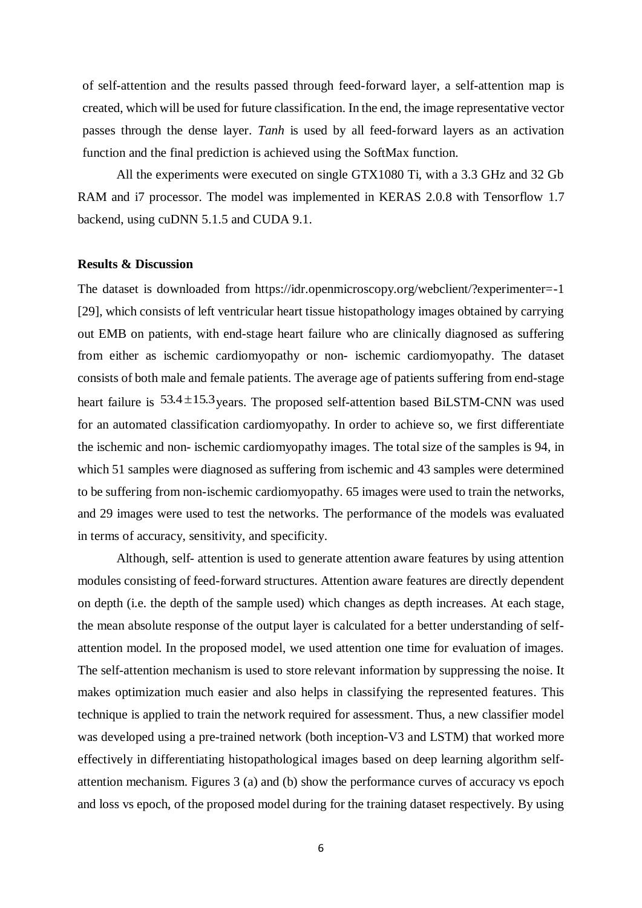of self-attention and the results passed through feed-forward layer, a self-attention map is created, which will be used for future classification. In the end, the image representative vector passes through the dense layer. *Tanh* is used by all feed-forward layers as an activation function and the final prediction is achieved using the SoftMax function.

All the experiments were executed on single GTX1080 Ti, with a 3.3 GHz and 32 Gb RAM and i7 processor. The model was implemented in KERAS 2.0.8 with Tensorflow 1.7 backend, using cuDNN 5.1.5 and CUDA 9.1.

#### **Results & Discussion**

The dataset is downloaded from https://idr.openmicroscopy.org/webclient/?experimenter=-1 [29], which consists of left ventricular heart tissue histopathology images obtained by carrying out EMB on patients, with end-stage heart failure who are clinically diagnosed as suffering from either as ischemic cardiomyopathy or non- ischemic cardiomyopathy. The dataset consists of both male and female patients. The average age of patients suffering from end-stage heart failure is  $53.4 \pm 15.3$  years. The proposed self-attention based BiLSTM-CNN was used for an automated classification cardiomyopathy. In order to achieve so, we first differentiate the ischemic and non- ischemic cardiomyopathy images. The total size of the samples is 94, in which 51 samples were diagnosed as suffering from ischemic and 43 samples were determined to be suffering from non-ischemic cardiomyopathy. 65 images were used to train the networks, and 29 images were used to test the networks. The performance of the models was evaluated in terms of accuracy, sensitivity, and specificity.

Although, self- attention is used to generate attention aware features by using attention modules consisting of feed-forward structures. Attention aware features are directly dependent on depth (i.e. the depth of the sample used) which changes as depth increases. At each stage, the mean absolute response of the output layer is calculated for a better understanding of selfattention model. In the proposed model, we used attention one time for evaluation of images. The self-attention mechanism is used to store relevant information by suppressing the noise. It makes optimization much easier and also helps in classifying the represented features. This technique is applied to train the network required for assessment. Thus, a new classifier model was developed using a pre-trained network (both inception-V3 and LSTM) that worked more effectively in differentiating histopathological images based on deep learning algorithm selfattention mechanism. Figures 3 (a) and (b) show the performance curves of accuracy vs epoch and loss vs epoch, of the proposed model during for the training dataset respectively. By using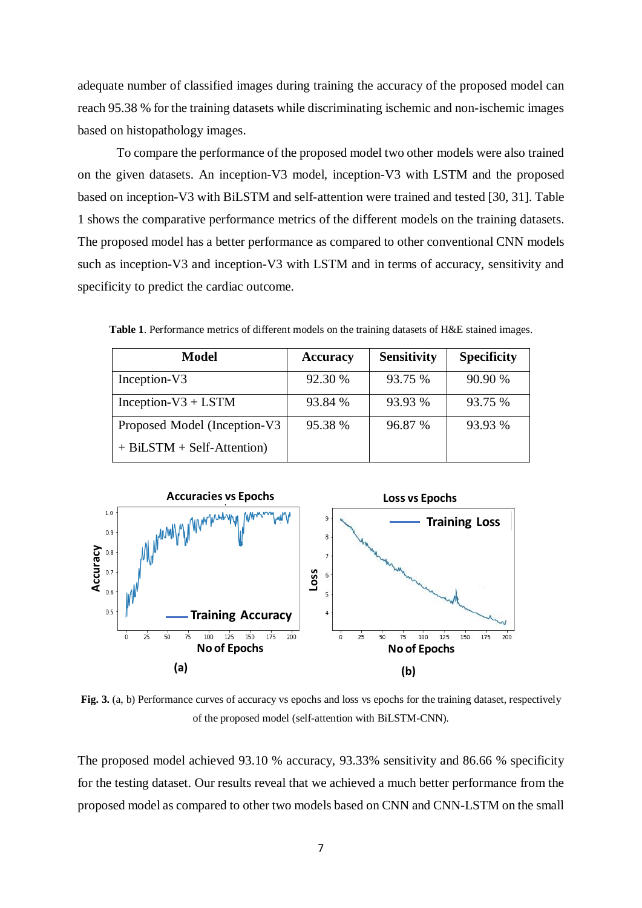adequate number of classified images during training the accuracy of the proposed model can reach 95.38 % for the training datasets while discriminating ischemic and non-ischemic images based on histopathology images.

To compare the performance of the proposed model two other models were also trained on the given datasets. An inception-V3 model, inception-V3 with LSTM and the proposed based on inception-V3 with BiLSTM and self-attention were trained and tested [30, 31]. Table 1 shows the comparative performance metrics of the different models on the training datasets. The proposed model has a better performance as compared to other conventional CNN models such as inception-V3 and inception-V3 with LSTM and in terms of accuracy, sensitivity and specificity to predict the cardiac outcome.

| <b>Model</b>                 | <b>Accuracy</b> | <b>Sensitivity</b> | <b>Specificity</b> |
|------------------------------|-----------------|--------------------|--------------------|
| Inception-V3                 | 92.30 %         | 93.75 %            | 90.90 %            |
| Inception- $V3 + LSTM$       | 93.84 %         | 93.93 %            | 93.75 %            |
| Proposed Model (Inception-V3 | 95.38 %         | 96.87 %            | 93.93 %            |
| $+ BiLSTM + Self-Attention)$ |                 |                    |                    |

**Table 1**. Performance metrics of different models on the training datasets of H&E stained images.



**Fig. 3.** (a, b) Performance curves of accuracy vs epochs and loss vs epochs for the training dataset, respectively of the proposed model (self-attention with BiLSTM-CNN).

The proposed model achieved 93.10 % accuracy, 93.33% sensitivity and 86.66 % specificity for the testing dataset. Our results reveal that we achieved a much better performance from the proposed model as compared to other two models based on CNN and CNN-LSTM on the small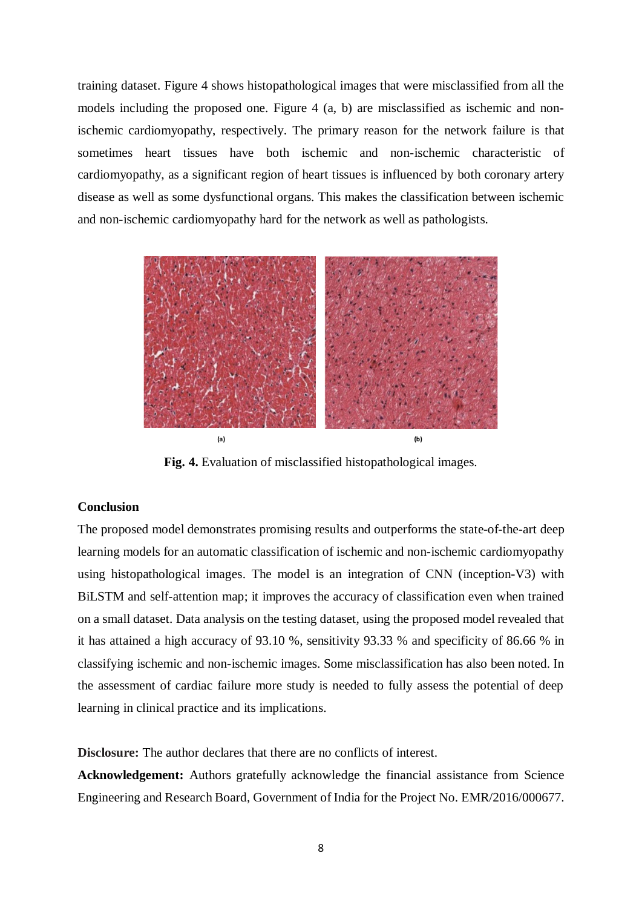training dataset. Figure 4 shows histopathological images that were misclassified from all the models including the proposed one. Figure 4 (a, b) are misclassified as ischemic and nonischemic cardiomyopathy, respectively. The primary reason for the network failure is that sometimes heart tissues have both ischemic and non-ischemic characteristic of cardiomyopathy, as a significant region of heart tissues is influenced by both coronary artery disease as well as some dysfunctional organs. This makes the classification between ischemic and non-ischemic cardiomyopathy hard for the network as well as pathologists.



**Fig. 4.** Evaluation of misclassified histopathological images.

# **Conclusion**

The proposed model demonstrates promising results and outperforms the state-of-the-art deep learning models for an automatic classification of ischemic and non-ischemic cardiomyopathy using histopathological images. The model is an integration of CNN (inception-V3) with BiLSTM and self-attention map; it improves the accuracy of classification even when trained on a small dataset. Data analysis on the testing dataset, using the proposed model revealed that it has attained a high accuracy of 93.10 %, sensitivity 93.33 % and specificity of 86.66 % in classifying ischemic and non-ischemic images. Some misclassification has also been noted. In the assessment of cardiac failure more study is needed to fully assess the potential of deep learning in clinical practice and its implications.

**Disclosure:** The author declares that there are no conflicts of interest.

**Acknowledgement:** Authors gratefully acknowledge the financial assistance from Science Engineering and Research Board, Government of India for the Project No. EMR/2016/000677.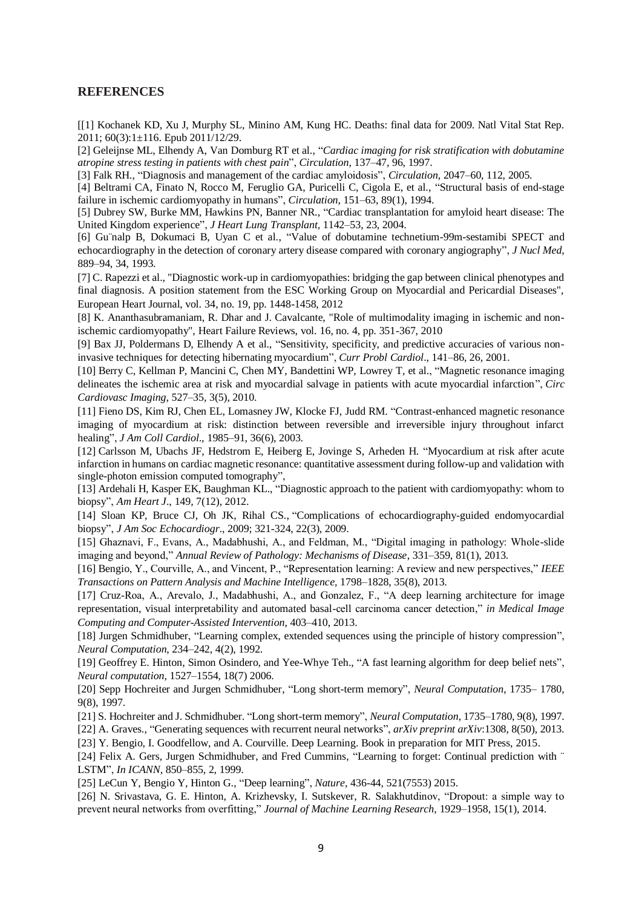#### **REFERENCES**

[[1] Kochanek KD, Xu J, Murphy SL, Minino AM, Kung HC. Deaths: final data for 2009. Natl Vital Stat Rep.  $2011: 60(3):1 \pm 116$ . Epub  $2011/12/29$ .

[2] Geleijnse ML, Elhendy A, Van Domburg RT et al., "*Cardiac imaging for risk stratification with dobutamine atropine stress testing in patients with chest pain*", *Circulation*, 137–47, 96, 1997.

[3] Falk RH., "Diagnosis and management of the cardiac amyloidosis", *Circulation*, 2047–60, 112, 2005.

[4] Beltrami CA, Finato N, Rocco M, Feruglio GA, Puricelli C, Cigola E, et al., "Structural basis of end-stage failure in ischemic cardiomyopathy in humans", *Circulation*, 151–63, 89(1), 1994.

[5] Dubrey SW, Burke MM, Hawkins PN, Banner NR., "Cardiac transplantation for amyloid heart disease: The United Kingdom experience", *J Heart Lung Transplant,* 1142–53, 23, 2004.

[6] Gu¨nalp B, Dokumaci B, Uyan C et al., "Value of dobutamine technetium-99m-sestamibi SPECT and echocardiography in the detection of coronary artery disease compared with coronary angiography", *J Nucl Med*, 889–94, 34, 1993.

[7] C. Rapezzi et al., "Diagnostic work-up in cardiomyopathies: bridging the gap between clinical phenotypes and final diagnosis. A position statement from the ESC Working Group on Myocardial and Pericardial Diseases", European Heart Journal, vol. 34, no. 19, pp. 1448-1458, 2012

[8] K. Ananthasubramaniam, R. Dhar and J. Cavalcante, "Role of multimodality imaging in ischemic and nonischemic cardiomyopathy", Heart Failure Reviews, vol. 16, no. 4, pp. 351-367, 2010

[9] Bax JJ, Poldermans D, Elhendy A et al., "Sensitivity, specificity, and predictive accuracies of various noninvasive techniques for detecting hibernating myocardium", *Curr Probl Cardiol*., 141–86, 26, 2001.

[10] Berry C, Kellman P, Mancini C, Chen MY, Bandettini WP, Lowrey T, et al., "Magnetic resonance imaging delineates the ischemic area at risk and myocardial salvage in patients with acute myocardial infarction", *Circ Cardiovasc Imaging*, 527–35, 3(5), 2010.

[11] Fieno DS, Kim RJ, Chen EL, Lomasney JW, Klocke FJ, Judd RM. "Contrast-enhanced magnetic resonance imaging of myocardium at risk: distinction between reversible and irreversible injury throughout infarct healing", *J Am Coll Cardiol*., 1985–91, 36(6), 2003.

[12] Carlsson M, Ubachs JF, Hedstrom E, Heiberg E, Jovinge S, Arheden H. "Myocardium at risk after acute infarction in humans on cardiac magnetic resonance: quantitative assessment during follow-up and validation with single-photon emission computed tomography",

[13] Ardehali H, Kasper EK, Baughman KL., "Diagnostic approach to the patient with cardiomyopathy: whom to biopsy", *Am Heart J*., 149, 7(12), 2012.

[14] Sloan KP, Bruce CJ, Oh JK, Rihal CS., "Complications of echocardiography-guided endomyocardial biopsy", *J Am Soc Echocardiogr*., 2009; 321-324, 22(3), 2009.

[15] Ghaznavi, F., Evans, A., Madabhushi, A., and Feldman, M., "Digital imaging in pathology: Whole-slide imaging and beyond," *Annual Review of Pathology: Mechanisms of Disease*, 331–359, 81(1), 2013.

[16] Bengio, Y., Courville, A., and Vincent, P., "Representation learning: A review and new perspectives," *IEEE Transactions on Pattern Analysis and Machine Intelligence,* 1798–1828, 35(8), 2013.

[17] Cruz-Roa, A., Arevalo, J., Madabhushi, A., and Gonzalez, F., "A deep learning architecture for image representation, visual interpretability and automated basal-cell carcinoma cancer detection," *in Medical Image Computing and Computer-Assisted Intervention*, 403–410, 2013.

[18] Jurgen Schmidhuber, "Learning complex, extended sequences using the principle of history compression", *Neural Computation*, 234–242, 4(2), 1992.

[19] Geoffrey E. Hinton, Simon Osindero, and Yee-Whye Teh., "A fast learning algorithm for deep belief nets", *Neural computation*, 1527–1554, 18(7) 2006.

[20] Sepp Hochreiter and Jurgen Schmidhuber, "Long short-term memory", *Neural Computation*, 1735– 1780, 9(8), 1997.

[21] S. Hochreiter and J. Schmidhuber. "Long short-term memory", *Neural Computation*, 1735–1780, 9(8), 1997.

[22] A. Graves., "Generating sequences with recurrent neural networks", *arXiv preprint arXiv*:1308, 8(50), 2013. [23] Y. Bengio, I. Goodfellow, and A. Courville. Deep Learning. Book in preparation for MIT Press, 2015.

[24] Felix A. Gers, Jurgen Schmidhuber, and Fred Cummins, "Learning to forget: Continual prediction with " LSTM", *In ICANN*, 850–855, 2, 1999.

[25] LeCun Y, Bengio Y, Hinton G., "Deep learning", *Nature*, 436-44, 521(7553) 2015.

[26] N. Srivastava, G. E. Hinton, A. Krizhevsky, I. Sutskever, R. Salakhutdinov, "Dropout: a simple way to prevent neural networks from overfitting," *Journal of Machine Learning Research*, 1929–1958, 15(1), 2014.